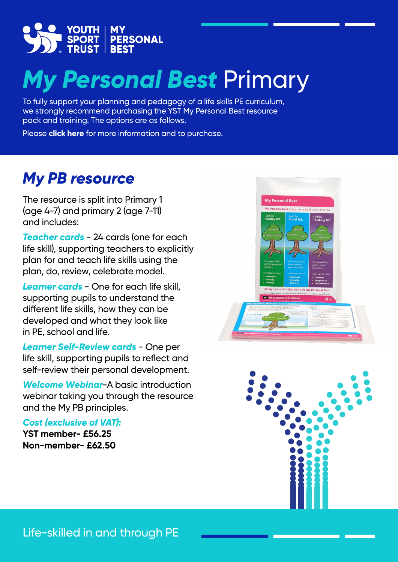

## *My Personal Best* Primary

To fully support your planning and pedagogy of a life skills PE curriculum, we strongly recommend purchasing the YST My Personal Best resource pack and training. The options are as follows.

Please **click here** [for more information and to purchase.](https://www.youthsporttrust.org/resources/character-and-leadership/my-personal-best)

## *My PB resource*

The resource is split into Primary 1 (age 4-7) and primary 2 (age 7-11) and includes:

*Teacher cards* - 24 cards (one for each life skill), supporting teachers to explicitly plan for and teach life skills using the plan, do, review, celebrate model.

*Learner cards* - One for each life skill, supporting pupils to understand the different life skills, how they can be developed and what they look like in PE, school and life.

*Learner Self-Review cards* - One per life skill, supporting pupils to reflect and self-review their personal development.

*Welcome Webinar*-A basic introduction webinar taking you through the resource and the My PB principles.

*Cost (exclusive of VAT):* 

**YST member- £56.25 Non-member- £62.50**